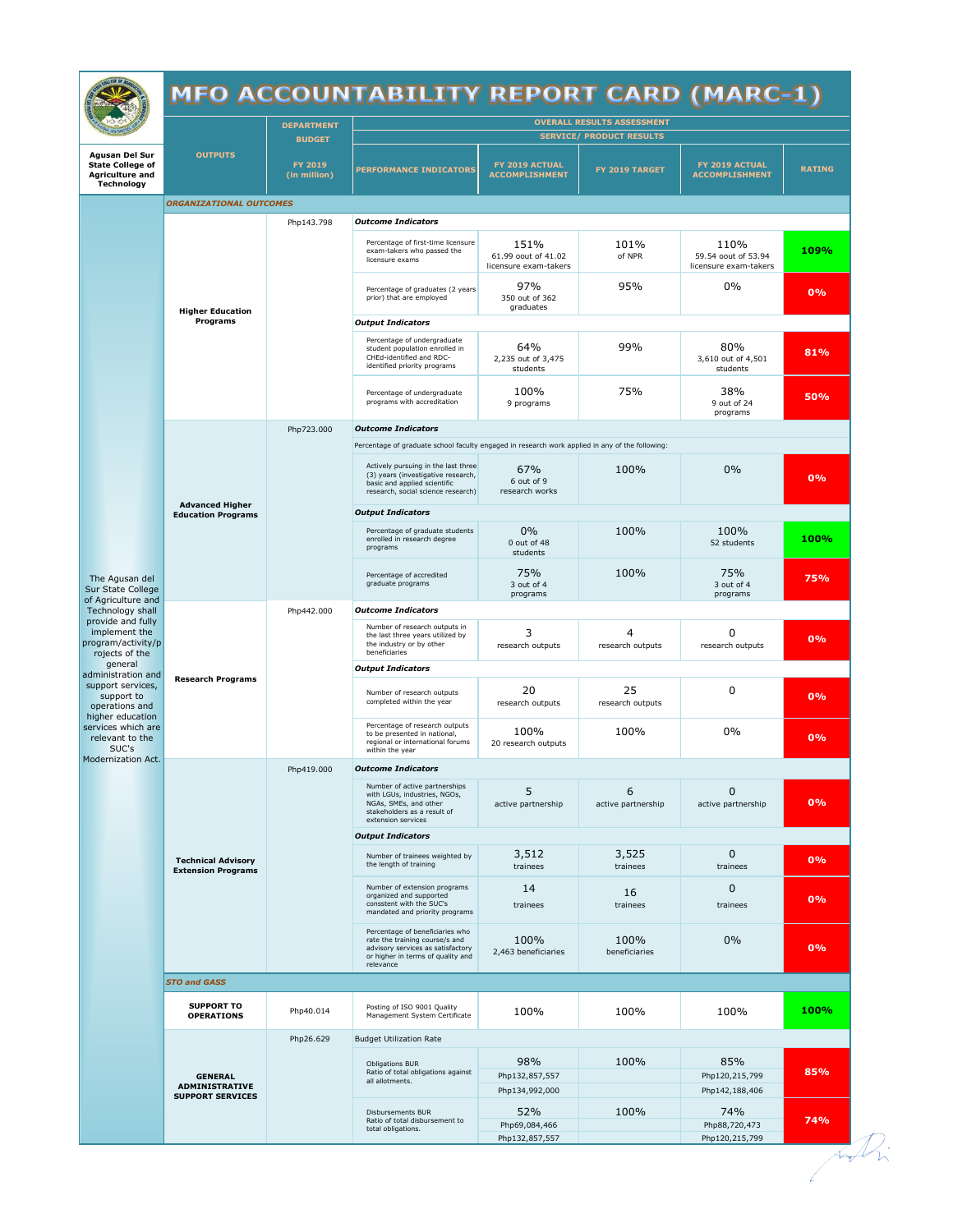

## MFO ACCOUNTABILITY REPORT CARD (MARC-1)

|                                                                                                                                                                                                                                         |                                                                    | <b>DEPARTMENT</b>       | <b>OVERALL RESULTS ASSESSMENT</b>                                                                                                                        |                                                      |                         |                                                      |               |  |  |  |  |
|-----------------------------------------------------------------------------------------------------------------------------------------------------------------------------------------------------------------------------------------|--------------------------------------------------------------------|-------------------------|----------------------------------------------------------------------------------------------------------------------------------------------------------|------------------------------------------------------|-------------------------|------------------------------------------------------|---------------|--|--|--|--|
|                                                                                                                                                                                                                                         |                                                                    | <b>BUDGET</b>           | <b>SERVICE/ PRODUCT RESULTS</b>                                                                                                                          |                                                      |                         |                                                      |               |  |  |  |  |
| <b>Agusan Del Sur</b><br><b>State College of</b><br><b>Agriculture and</b><br><b>Technology</b>                                                                                                                                         | <b>OUTPUTS</b>                                                     | FY 2019<br>(in million) | <b>PERFORMANCE INDICATORS</b>                                                                                                                            | FY 2019 ACTUAL<br><b>ACCOMPLISHMENT</b>              | FY 2019 TARGET          | FY 2019 ACTUAL<br><b>ACCOMPLISHMENT</b>              | <b>RATING</b> |  |  |  |  |
|                                                                                                                                                                                                                                         | <b>ORGANIZATIONAL OUTCOMES</b>                                     |                         |                                                                                                                                                          |                                                      |                         |                                                      |               |  |  |  |  |
|                                                                                                                                                                                                                                         | <b>Higher Education</b><br>Programs                                | Php143.798              | <b>Outcome Indicators</b>                                                                                                                                |                                                      |                         |                                                      |               |  |  |  |  |
|                                                                                                                                                                                                                                         |                                                                    |                         | Percentage of first-time licensure<br>exam-takers who passed the<br>licensure exams                                                                      | 151%<br>61.99 oout of 41.02<br>licensure exam-takers | 101%<br>of NPR          | 110%<br>59.54 oout of 53.94<br>licensure exam-takers | 109%          |  |  |  |  |
|                                                                                                                                                                                                                                         |                                                                    |                         | Percentage of graduates (2 years<br>prior) that are employed                                                                                             | 97%<br>350 out of 362<br>graduates                   | 95%                     | 0%                                                   | 0%            |  |  |  |  |
|                                                                                                                                                                                                                                         |                                                                    |                         | <b>Output Indicators</b>                                                                                                                                 |                                                      |                         |                                                      |               |  |  |  |  |
|                                                                                                                                                                                                                                         |                                                                    |                         | Percentage of undergraduate<br>student population enrolled in<br>CHEd-identified and RDC-<br>identified priority programs                                | 64%<br>2,235 out of 3,475<br>students                | 99%                     | 80%<br>3,610 out of 4,501<br>students                | 81%           |  |  |  |  |
|                                                                                                                                                                                                                                         |                                                                    |                         | Percentage of undergraduate<br>programs with accreditation                                                                                               | 100%<br>9 programs                                   | 75%                     | 38%<br>9 out of 24<br>programs                       | 50%           |  |  |  |  |
|                                                                                                                                                                                                                                         |                                                                    | Php723.000              | <b>Outcome Indicators</b>                                                                                                                                |                                                      |                         |                                                      |               |  |  |  |  |
|                                                                                                                                                                                                                                         |                                                                    |                         | Percentage of graduate school faculty engaged in research work applied in any of the following:                                                          |                                                      |                         |                                                      |               |  |  |  |  |
|                                                                                                                                                                                                                                         |                                                                    |                         | Actively pursuing in the last three<br>(3) years (investigative research,<br>basic and applied scientific<br>research, social science research)          | 67%<br>6 out of 9<br>research works                  | 100%                    | 0%                                                   | 0%            |  |  |  |  |
|                                                                                                                                                                                                                                         | <b>Advanced Higher</b><br><b>Education Programs</b>                |                         | <b>Output Indicators</b>                                                                                                                                 |                                                      |                         |                                                      |               |  |  |  |  |
| The Agusan del<br>Sur State College<br>of Agriculture and                                                                                                                                                                               |                                                                    |                         | Percentage of graduate students<br>enrolled in research degree<br>programs                                                                               | 0%<br>0 out of 48<br>students                        | 100%                    | 100%<br>52 students                                  | 100%          |  |  |  |  |
|                                                                                                                                                                                                                                         |                                                                    |                         | Percentage of accredited<br>graduate programs                                                                                                            | 75%<br>3 out of 4<br>programs                        | 100%                    | 75%<br>3 out of 4<br>programs                        | 75%           |  |  |  |  |
| Technology shall<br>provide and fully                                                                                                                                                                                                   | <b>Research Programs</b>                                           | Php442.000              | <b>Outcome Indicators</b>                                                                                                                                |                                                      |                         |                                                      |               |  |  |  |  |
| implement the<br>program/activity/p<br>rojects of the<br>general<br>administration and<br>support services,<br>support to<br>operations and<br>higher education<br>services which are<br>relevant to the<br>SUC's<br>Modernization Act. |                                                                    |                         | Number of research outputs in<br>the last three years utilized by<br>the industry or by other<br>beneficiaries                                           | 3<br>research outputs                                | 4<br>research outputs   | 0<br>research outputs                                | 0%            |  |  |  |  |
|                                                                                                                                                                                                                                         |                                                                    |                         | <b>Output Indicators</b>                                                                                                                                 |                                                      |                         |                                                      |               |  |  |  |  |
|                                                                                                                                                                                                                                         |                                                                    |                         | Number of research outputs<br>completed within the year                                                                                                  | 20<br>research outputs                               | 25<br>research outputs  | 0                                                    | 0%            |  |  |  |  |
|                                                                                                                                                                                                                                         |                                                                    |                         | Percentage of research outputs<br>to be presented in national,<br>regional or international forums<br>within the year                                    | 100%<br>20 research outputs                          | 100%                    | 0%                                                   | 0%            |  |  |  |  |
|                                                                                                                                                                                                                                         | <b>Technical Advisory</b><br><b>Extension Programs</b>             | Php419.000              | <b>Outcome Indicators</b>                                                                                                                                |                                                      |                         |                                                      |               |  |  |  |  |
|                                                                                                                                                                                                                                         |                                                                    |                         | Number of active partnerships<br>with LGUs, industries, NGOs,<br>NGAs, SMEs, and other<br>stakeholders as a result of<br>extension services              | 5<br>active partnership                              | 6<br>active partnership | 0<br>active partnership                              | 0%            |  |  |  |  |
|                                                                                                                                                                                                                                         |                                                                    |                         | <b>Output Indicators</b>                                                                                                                                 |                                                      |                         |                                                      |               |  |  |  |  |
|                                                                                                                                                                                                                                         |                                                                    |                         | Number of trainees weighted by<br>the length of training<br>Number of extension programs                                                                 | 3,512<br>trainees                                    | 3,525<br>trainees       | $\mathbf{0}$<br>trainees                             | 0%            |  |  |  |  |
|                                                                                                                                                                                                                                         |                                                                    |                         | organized and supported<br>consstent with the SUC's<br>mandated and priority programs                                                                    | 14<br>trainees                                       | 16<br>trainees          | 0<br>trainees                                        | 0%            |  |  |  |  |
|                                                                                                                                                                                                                                         |                                                                    |                         | Percentage of beneficiaries who<br>rate the training course/s and<br>advisory services as satisfactory<br>or higher in terms of quality and<br>relevance | 100%<br>2,463 beneficiaries                          | 100%<br>beneficiaries   | $0\%$                                                | 0%            |  |  |  |  |
|                                                                                                                                                                                                                                         | <b>STO and GASS</b>                                                |                         |                                                                                                                                                          |                                                      |                         |                                                      |               |  |  |  |  |
|                                                                                                                                                                                                                                         | <b>SUPPORT TO</b><br><b>OPERATIONS</b>                             | Php40.014               | Posting of ISO 9001 Quality<br>Management System Certificate                                                                                             | 100%                                                 | 100%                    | 100%                                                 | 100%          |  |  |  |  |
|                                                                                                                                                                                                                                         | <b>GENERAL</b><br><b>ADMINISTRATIVE</b><br><b>SUPPORT SERVICES</b> | Php26.629               | <b>Budget Utilization Rate</b>                                                                                                                           |                                                      |                         |                                                      |               |  |  |  |  |
|                                                                                                                                                                                                                                         |                                                                    |                         | <b>Obligations BUR</b><br>Ratio of total obligations against<br>all allotments.                                                                          | 98%<br>Php132,857,557<br>Php134,992,000              | 100%                    | 85%<br>Php120,215,799<br>Php142,188,406              | 85%           |  |  |  |  |
|                                                                                                                                                                                                                                         |                                                                    |                         | Disbursements BUR<br>Ratio of total disbursement to<br>total obligations.                                                                                | 52%<br>Php69,084,466<br>Php132,857,557               | 100%                    | 74%<br>Php88,720,473<br>Php120,215,799               | 74%           |  |  |  |  |
|                                                                                                                                                                                                                                         |                                                                    |                         |                                                                                                                                                          |                                                      |                         |                                                      |               |  |  |  |  |